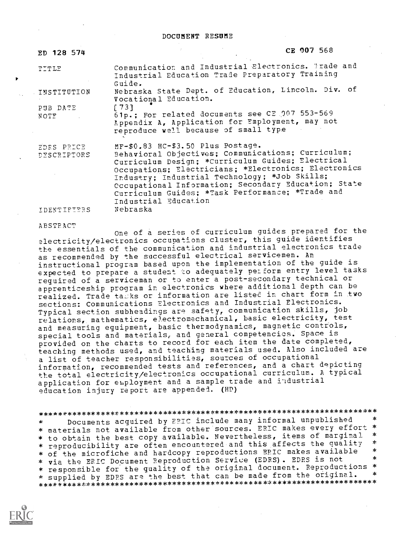| ED 128 574                | CK 907 568                                                                                                                                                                                                                                                                                                                                                                                |
|---------------------------|-------------------------------------------------------------------------------------------------------------------------------------------------------------------------------------------------------------------------------------------------------------------------------------------------------------------------------------------------------------------------------------------|
| TITLE                     | Communication and Industrial Electronics. Trade and<br>Industrial Education Trade Preparatory Training<br>Guide.                                                                                                                                                                                                                                                                          |
| INSTITUTION               | Nebraska State Dept. of Education, Lincoln. Div. of<br>Vocational Education.                                                                                                                                                                                                                                                                                                              |
| PUB DATE<br>NOTE 1        | $[73]$<br>61p.; For related documents see CE 007 553-569<br>Appendix A, Application for Employment, may not<br>reproduce well because of small type                                                                                                                                                                                                                                       |
| EDRS PRICE<br>DESCRIPTORS | MF-\$0.83 HC-\$3.50 Plus Postage.<br>Behavioral Objectives; Communications; Curriculum;<br>Curriculum Design; *Curriculum Guides; Electrical<br>Occupations; Electricians; *Electronics; Electronics<br>Industry; Industrial Technology; *Job Skills;<br>Occupational Information; Secondary Education; State<br>Curriculum Guides; *Task Performance; *Trade and<br>Industrial Education |

IDENTIFIERS

Nebraska

#### ABSTRACT

One of a series of curriculum guides prepared for the electricity/electronics occupations cluster, this guide identifies the essentials of the communication and industrial electronics trade<br>as recommended by the successful electrical servicemen. An instructional program based upon the implementation of the guide is expected to prepare a student to adequately perform entry level tasks required of a serviceman or to enter a post-secondary technical or apprenticeship program in electronics where additional depth can be realized. Trade taiks or information are listed in chart form in two sections: Communications Electronics and Industrial Electronics. Typical section subheadings are safety, communication skills, job relations, mathematics, electromechanical, basic electricity, test and measuring equipment, basic thermodynamics, magnetic controls, special tools and materials, and general competencies. Space is provided on the charts to record for each item the date completed, teaching methods used, and teaching materials used. Also included are a list of teacher responsibilities, sources of occupational information, recommended tests and references, and a chart depicting the total electricity/electronics occupational curriculum. A typical application for employment and a sample trade and industrial education injury report are appended. (HD)

Documents acquired by EPIC include many informal unpublished  $\star$ \* materials not available from other sources. ERIC makes every effort \* \* to obtain the best copy available. Nevertheless, items of marginal  $\ast$ \* reproducibility are often encountered and this affects the quality  $\frac{d}{d\mathbf{x}}$ \* of the microfiche and hardcopy reproductions EPIC makes available ź. \* via the ERIC Document Reproduction Service (EDRS). EDRS is not \* responsible for the quality of the original document. Reproductions \* \* supplied by EDPS are the best that can be made from the original.  $\star$ 

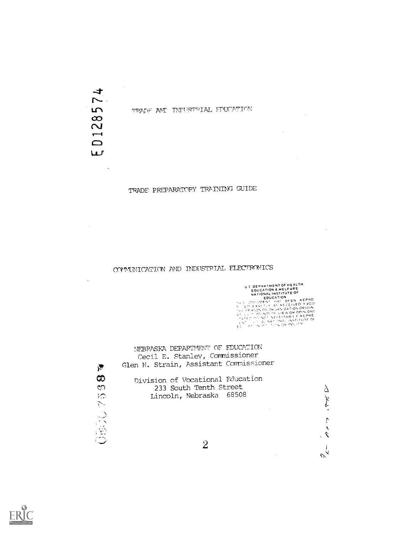$\rightarrow$  $\overline{r}$  $\overline{5}$  $\frac{1}{2}$  $\overline{\phantom{a}}$  $\Box$ w

 $\sim$ 

 $\mathcal{A}_k$ 

 $\mathcal{F}$ 

 $\sim$ 

TOW THE TRILETTEL FINCATION

TRADE PREPARATORY TRAINING GUIDE

# COMMUNICATION AND INDUSTRIAL ELECTRONICS

US DEPARTMENTOF HEALTH.<br>
EDUCATION & WELFARE<br>
NATIONAL INSTITUTE OF<br>
EDUCATION<br>
THE VOCUPENT INSIDE BEEN REPRO<br>
THE VALUE TO NOT A REPRODUCED AT THE VALUE OF A CHANGE AND ONE OF A CHANGE AND THE REPRODUCED AND NOT DUCK A

 $\bar{z}$ 

 $\sim 10^7$ 

 $\mathcal{A}^{\mathcal{A}}$ 

 $\sim 10^7$ 

 $\Delta$ 

グ

 $\ddot{\Gamma}$  $\ddot{\phantom{1}}$  $\mathcal{L}$ .

 $\overline{1}$  $\tilde{\mathscr{C}}_{\tilde{\mathcal{A}}}$ 

 $\sim$   $\sim$ 

 $\sim 10^7$ 

NEBRASKA DEPARTMENT OF EDUCATION Cecil E. Stanley, Commissioner Glen H. Strain, Assistant Commissioner ග Division of Vocational Education  $\infty$ 233 South Tenth Street Lincoln, Nebraska 68508 独议业书

 $\overline{2}$ 

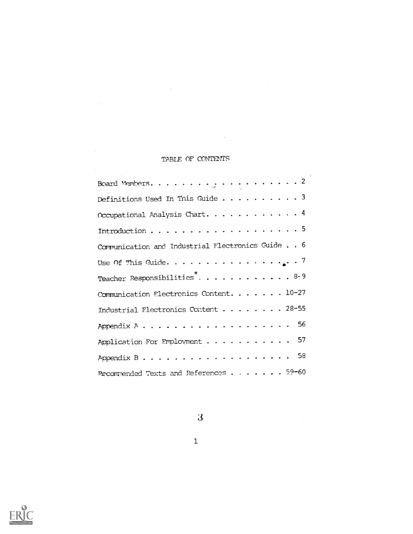# TABLE OF CONTENTS

 $\hat{\mathbf{v}}$ 

 $\mathcal{L}(\mathcal{A})$  and  $\mathcal{L}(\mathcal{A})$  .

 $\label{eq:2.1} \mathcal{F}^{\text{max}}_{\text{max}}(\mathcal{F}^{\text{max}}_{\text{max}}, \mathcal{F}^{\text{max}}_{\text{max}})$ 

 $\label{eq:2} \frac{1}{\sqrt{2}}\sum_{i=1}^n\frac{1}{\sqrt{2}}\sum_{i=1}^n\frac{1}{\sqrt{2}}\sum_{i=1}^n\frac{1}{\sqrt{2}}\sum_{i=1}^n\frac{1}{\sqrt{2}}\sum_{i=1}^n\frac{1}{\sqrt{2}}\sum_{i=1}^n\frac{1}{\sqrt{2}}\sum_{i=1}^n\frac{1}{\sqrt{2}}\sum_{i=1}^n\frac{1}{\sqrt{2}}\sum_{i=1}^n\frac{1}{\sqrt{2}}\sum_{i=1}^n\frac{1}{\sqrt{2}}\sum_{i=1}^n\frac{1$ 

 $\mathcal{L}^{\text{max}}_{\text{max}}$  and  $\mathcal{L}^{\text{max}}_{\text{max}}$ 

| Definitions Used In This Guide 3                                                                                |
|-----------------------------------------------------------------------------------------------------------------|
| Occupational Analysis Chart. 4                                                                                  |
| Introduction $\ldots \ldots \ldots \ldots \ldots \ldots \ldots 5$                                               |
| Communication and Industrial Flectronics Guide 6                                                                |
| Use Of This Guide. 7                                                                                            |
| Teacher Responsibilities8-9                                                                                     |
| Communication Electronics Content. 10-27                                                                        |
| Industrial Flectronics Content 28-55                                                                            |
| Appendix $A \cdot \cdot \cdot \cdot \cdot \cdot \cdot \cdot \cdot \cdot \cdot \cdot \cdot \cdot \cdot \cdot 56$ |
| Application For Employment 57                                                                                   |
| Appendix B58                                                                                                    |
| Pecommended Texts and References 59-60                                                                          |



 $\overline{3}$ 

1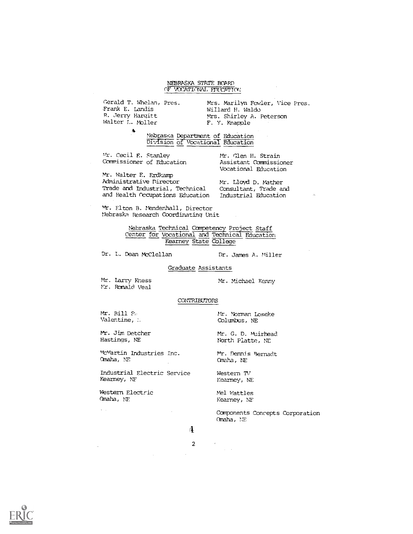# NEBRASKA STATE BOARD OF VOCATIONAL FINICATION

Gerald T. Whelan, Pres. Frank E. Landis R. Jerry Hargitt Walter L. Moller

 $\Lambda$ 

Mts. Marilyn Fowler, Vice Pres. Willard H. Waldo Mrs. Shirley A. Peterson F. Y. Knapple

Nebraska Department of Education Division <u>ot</u> Vocational Education

Mr. Cecil E. Stanley Commissioner of Education Mr. Glen H. Strain Assistant Commissioner Vocational Education

Mr. Walter F. Erdkamp Administrative Director Trade and Industrial, Technical and Health Occupations Education

Mr. Lloyd D. Mather Consultant, Trade and Industrial Education

mr. Elton B. Mendenhall, Director Nebraska Research Coordinating Unit

> Nebraska Technical Competency Project Staff Center for Vocational and Technical Education Kearney State College

Dr. L. Dean McClellan Dr. James A. Miller

Graduate Assistants

Mr. Larry Kness Mr. Michael Kenny Mr. Ronald Veal

#### CONTRIBUTORS

Mt. Jim Detcher Hastings, NE

McMartin Industries Inc. Mr. Dennis Bernadt<br>
Omaha, NE (Omaha, NE

Industrial Electric Service Kearney, NF

Western Electric Omaha, NE

 $\mathbb{R}^{\mathbb{Z}^2}$ 

Mr. Rill S, Mr. Norman Loseke Valentine, Mr. Norman Loseke Valentine, Mr. Norman Loseke Valentine, COlumbus, NE

> Mr. G. D. muirhead NOrth Platte, NE

Omaha, NE Omaha, NE

Western TV Kearney, NE

Nel Wattles Kearney, NE

COmponents Concepts Corporation Omaha, NE



 $\sim$ 

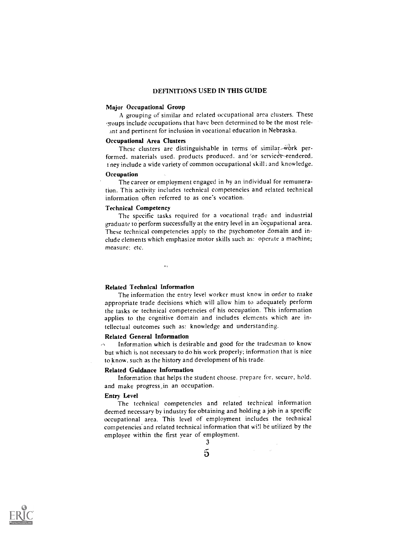## DEFINITIONS USED IN THIS GUIDE

# Major Occupational Group

A grouping of similar and related occupational area clusters. These roups include occupations that have been determined to be the most releant and pertinent for inclusion in vocational education in Nebraska.

# Occupational Area Clusters

These clusters are distinguishable in terms of similar-work performed, materials used, products produced, and 'or services rendered. ney include a wide variety of common occupational skill; and knowledge.

# Occupation

The career or employment engaged in by an individual for remuneration. This activity includes technical competencies and related technical information often referred to as one's vocation.

## Technical Competency

The specific tasks required for a vocational trade and industrial graduate to perform successfully at the entry level in an occupational area. These technical competencies apply to the psychomotor domain and include elements which emphasize motor skills such as: operate a machine; measure; etc.

# Related Technical Information

 $\sim$ 

The information the entry level worker must know in order to make appropriate trade decisions which will allow him to adequately perform the tasks or technical competencies of his occupation. This information applies to the cognitive domain and includes elements which are intellectual outcomes such as: knowledge and understanding.

#### Related General Information

Information which is desirable and good for the tradesman to know but which is not necessary to do his work properly; information that is nice toknow, such as the history and development of his trade.

#### Related Guidance Information

Information that helps the student choose, prepare for, secure, hold. and make progress in an occupation.

# Entry Level

The technical competencies and related technical information deemed necessary by industry for obtaining and holding a job in a specific occupational area. This level of employment includes the technical competencies and related technical information that wi!I be utilized by the employee within the first year of employment.

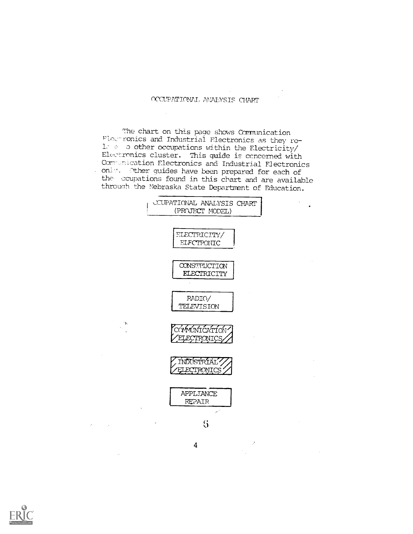# OCCUPATIONAL ANALYSIS CHART

The chart on this page shows Communication Flectronics and Industrial Flectronics as they re-1. e o other occupations within the Electricity/ Electronics cluster. This guide is concerned with Communication Electronics and Industrial Electronics only. Other guides have been prepared for each of<br>the coupations found in this chart and are available through the Nebraska State Department of Education.



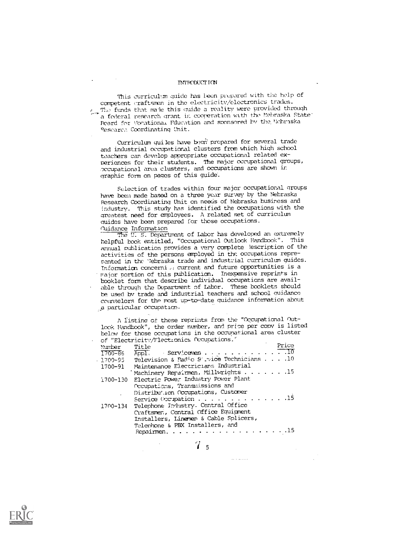#### INTRODUCTION

This curriculum guide has heen prepared with the help of competent craftsmen in the electricity/electronics trades. The funds that male this guide a reality were provided through a federal research grant in cooperation with the Nebraska State' Board for Yorationa, Education and sponsored by the Nebraska Pesearc. Coordinating Unit.

Curriculum guiles have been prepared for several trade and industrial occupational clusters from which high school teachers can develop appropriate occupational related experiences for their students. The major occupational groups, nccupational area clusters, and occupations are Shown in graphic form on pages of this guide.

Selection of trades within four major occupational groups have been made based on a three year survey by the Nebraska Research Coordinating Unit on needs of Nebraska business and Industry. This study has identified the occupations with the greatest need for employees. A related set of curriculum guides have been prepared for those occupations. Guidance Information

The U. S. Department of Labor has deVeloped an extremely helpful book entitled, "Occupational Outlook Handbook". This annual publication provides a very complete lescription of the activities of the persons employed in the occupations represented in the 'Jebraska trade and industrial curriculum quides. Tnformation concerni .,! current and future opportunities is a major portion of this publication. Inexpensive reprints in booklet form that describe individual occupations are available through the Department of Labor. These booklets should be used by trade and industrial teachers and school guidance counselors for the most up-to-date guidance information about particular occupation.

A listing of these reprints from the "Occupational Outlook Handbook", the order nurher, and price per copy is listed below for those occupations in the occunational area cluster of "F2lectrcit/Flectonics Occupations.'

|          | UI LIEUULIUIVAI ITULIUILUS TESABALLANDI           |  |
|----------|---------------------------------------------------|--|
| Mumber   | Price<br>Title                                    |  |
|          | 1700-86 Appl. Servicemen 0                        |  |
|          | 1700-95 Television & Padio Survice Technicians 10 |  |
| 1700-91  | Maintenance Electricians Industrial               |  |
|          | Machinery Repairmen, Millwrights 15               |  |
|          | 1700-130 Electric Power Industry Power Plant      |  |
|          | Occupations, Transmissions and                    |  |
|          | Distribution Occupations, Customer                |  |
|          | Service Occupation 15                             |  |
| 1700-134 | Telephone Industry. Central Office                |  |
|          | Craftsmen, Central Office Equipment               |  |
|          | Installers, Linemen & Cable Splicers,             |  |
|          | Telephone & PBX Installers, and                   |  |
|          | Repairmen. $\ldots$                               |  |

7 <sup>5</sup>

all and country

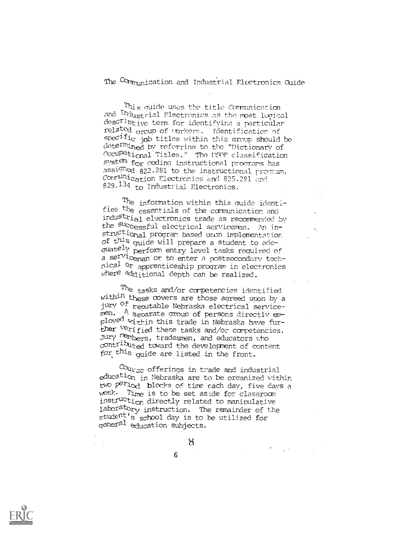The Communication and Industrial Electronics Guide

This quide uses the title Communication and Industrial Electronics as the most logical descriptive term for identifying a particular related group of vorkers. Identification of specific job titles within this group should be dete<sup>rmi</sup>ned by referring to the "Dictionary of Occupational Titles." The USOF classification system for coding instructional programs has assigned 822.281 to the instructional program, Communication Electronics and 825.281 and 829.134 to Industrial Electronics.

The information within this quide identifies the essentials of the communication and industrial electronics trade as recommended by the successful electrical servicemen. An instru<sup>cti</sup>onal program based uron implementation of this quide will prepare a student to adequately perform entry level tasks required of a serviceman or to enter a postsecondary technical or apprenticeship program in electronics where additional depth can be realized.

<sup>The</sup> tasks and/or competencies identified within these covers are those agreed upon by a jury <sup>Of</sup> reputable Nebraska electrical serviceployed within this trade in Nebraska have further verified these tasks and/or competencies. Jury members, tradesmen, and educators who contributed toward the development of content for this quide are listed in the front.

 $c_{\texttt{Our}\texttt{sc}}$  offerings in trade and industrial education in Nebraska are to be organized within two period blocks of time each day, five days a week. Time is to be set aside for classroom instruction directly related to manipulative laboratory instruction. The remainder of the student's school day is to be utilized for<br>general education subjects.

6

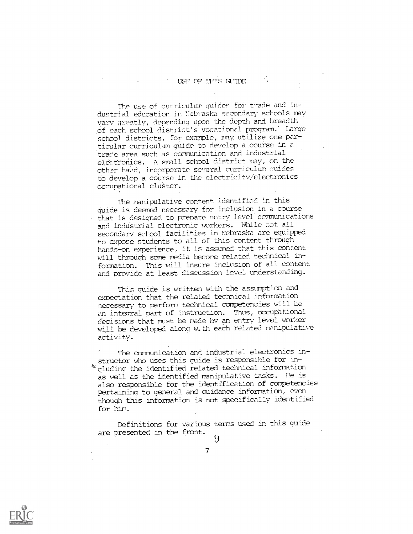The use of curriculum quides for trade and industrial education in Nebraska secondary schools may vary greatly, depending upon the depth and breadth of each school district's vocational program.' Large school districts, for example, may utilize one particular curriculum quide to develop a course in a trade area such as commnication and industrial eletronics. A small school district may, on the other hand, incorporate several curriculum guides to develop a course in the electricity/electronics occupational cluster.

The manipulative content identified in this guide is deemed necessary for inclusion in a course that is designed to prepare entry level communications and industrial electronic workers. While not all secondary school facilities in Nebraska are equipped to expose students to all of this content through hands-on experience, it is assumed that this content will through some media become related technical information. This will insure inclusion of all content and provide at least discussioh level understanding.

This quide is written with the assumption and expectation that the related technical information necessary to perform technical competencies will be an integral part of instruction. Thus, occupational d'ecisions that must be made by an entry level worker will be developed along wjth each related manipulative activity.

The communication and industrial electronics instructor who uses this guide is responsible for including the identified related technical information as well as the identified manipulative tasks. He is also responsible for the identification of competencies pertaining to general and quidance information, even though this information is not specifically identified for him.

Definitions for various terms used in this guide are presented in the front. 9



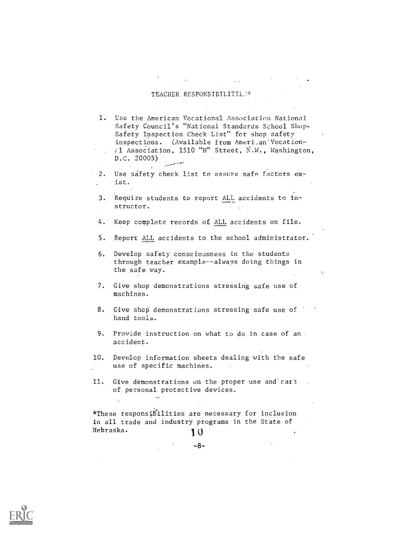## TEACHER RESPONSIBILITIL.V\*

1. Use the American Vocational Association National Safety Council's "National Standards School Shop Safety Inspection Check List" for shop safety inspections. (Available from Ameri.an'Vocation-Al Association, 1510 "H" Street, N.W., Washington, D.C. 20005)

2. Use safety check list to assure safe factors exist.

3. ReqUire students to report ALL accidents to instructor.

4. Keep complete records of ALL accidents on file.

- 5. Report ALL accidents to the school administrator.
- 6. Develop safety consciousness in the students through teacher example--always doing things in the safe way.

7. Give shop demonstrations stressing safe use of machines.

- 8. Give shop demonstrations stressing safe use of hand tools.
- 9. Provide instruction on what to do in case of an accident.

10. Develop information sheets dealing with the safe use of specific machines.

11. Give demonstrations on the proper use and care of personal protective devices.

\*These responsibilities are necessary for inclusion in all trade and industry programs in the State of Nebraska. 10

-8-

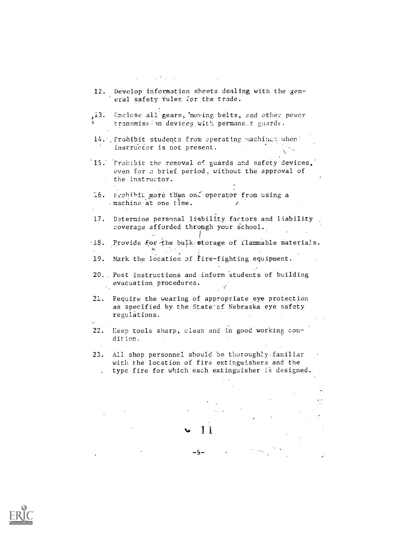| 12.  | Develop information sheets dealing with the gen-<br>eral safety rules for the trade.                                                                      |
|------|-----------------------------------------------------------------------------------------------------------------------------------------------------------|
|      |                                                                                                                                                           |
| ,13. | Enclose all gears, moving belts, and other power<br>transmission devices with permanent guards.                                                           |
|      | 14. Prohibit students from operating machines when<br>instructor is not present.                                                                          |
|      | 15. Prohibit the removal of guards and safety devices,<br>even for a brief period, without the approval of<br>the instructor.                             |
| 16.  | Prohibit more than onl operator from using a<br>machine at one time.                                                                                      |
| 17.  | Determine personal liability factors and liability<br>coverage afforded through your school.                                                              |
| -18. | Provide for the bulk storage of rlammable materials.                                                                                                      |
| 19.  | Mark the location of fire-fighting equipment.                                                                                                             |
|      | 20. Post instructions and inform students of building<br>evacuation procedures.                                                                           |
| 21.  | Require the wearing of appropriate eye protection<br>as specified by the State'cf Nebraska eye safety<br>regulations.                                     |
| 22.  | Keep tools sharp, clean and in good working con-<br>dition.                                                                                               |
| 23.  | All shop personnel should be thoroughly familiar<br>with the location of fire extinguishers and the<br>type fire for which each extinguisher is designed. |
|      |                                                                                                                                                           |
|      |                                                                                                                                                           |
|      |                                                                                                                                                           |
|      |                                                                                                                                                           |
|      |                                                                                                                                                           |
|      |                                                                                                                                                           |

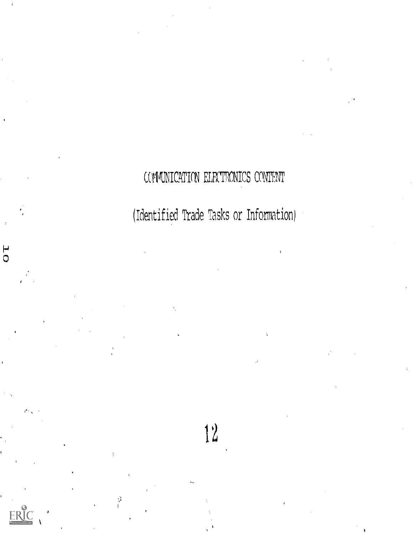COMMUNICATION ELEXTRONICS CONTENT

(Identified Trade Tasks or Information)

 $12$ 



 $\frac{1}{1}$ 

 $\overline{\mathsf{C}}$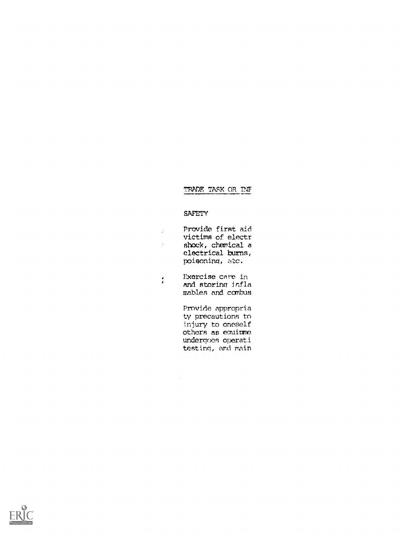# TRADE TASX OR TNT

# **SAFETY**

| A | Provide first aid |
|---|-------------------|
|   | victims of electr |
|   | shock, chemical a |
|   | electrical burns, |
|   | poisoning, atc.   |

Exercise care in  $\frac{1}{2}$ and storing infla mables and combus

 $\mathcal{L}_{\text{eff}}$ 

Provide appropria ty precautions to injury to oneself others as eguipme undergoes operati testing, and main

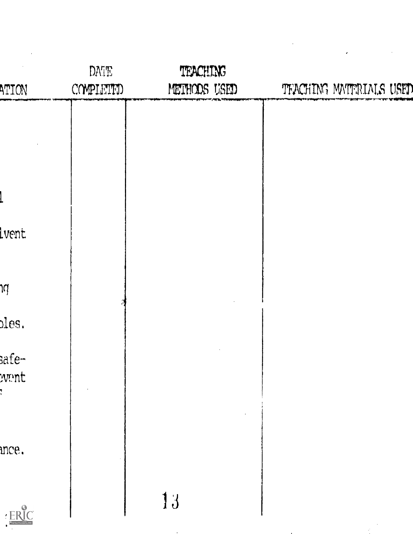| ATION                                                                                                  | DATE<br>COMPLETED | TEACHING<br>METHODS USED | TEACHING MATERIALS USED |
|--------------------------------------------------------------------------------------------------------|-------------------|--------------------------|-------------------------|
|                                                                                                        |                   |                          |                         |
|                                                                                                        |                   |                          |                         |
|                                                                                                        |                   |                          |                         |
|                                                                                                        |                   |                          |                         |
| lvent                                                                                                  |                   |                          |                         |
|                                                                                                        |                   |                          |                         |
| ΊÀ                                                                                                     |                   |                          |                         |
| bles.                                                                                                  |                   |                          |                         |
| safe-                                                                                                  |                   |                          |                         |
| wmt                                                                                                    |                   |                          |                         |
|                                                                                                        |                   |                          |                         |
| mce.                                                                                                   |                   |                          |                         |
|                                                                                                        |                   |                          |                         |
| $\mathop{\mathrm{ERIC}}_{\raisebox{-1pt}{\text{\circle*{1.5}}{A\text{-rall test Proof of type EBC}}}}$ |                   | 13                       |                         |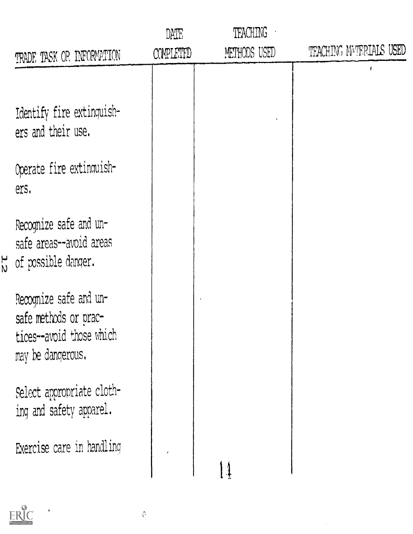|                                                                                                  | DATE      | <b>TEACHING</b> |                         |
|--------------------------------------------------------------------------------------------------|-----------|-----------------|-------------------------|
| TRADE TASK OR INFORMATION                                                                        | COMPLETED | METHODS USED    | TEACHING MATERIALS USED |
|                                                                                                  |           |                 |                         |
| Identify fire extinguish-<br>ers and their use.                                                  |           |                 |                         |
| Operate fire extinquish-<br>ers.                                                                 |           |                 |                         |
| Recognize safe and un-<br>safe areas--avoid areas<br>of possible danger.                         |           |                 |                         |
| Recognize safe and un-<br>safe methods or prac-<br>tices--avoid those which<br>may be dangerous. |           |                 |                         |
| Select appropriate cloth-<br>ing and safety apparel.                                             |           |                 |                         |
| Exercise care in handling                                                                        |           |                 |                         |
|                                                                                                  |           |                 |                         |

 $\sim 10^6$ 



 $\frac{1}{2}$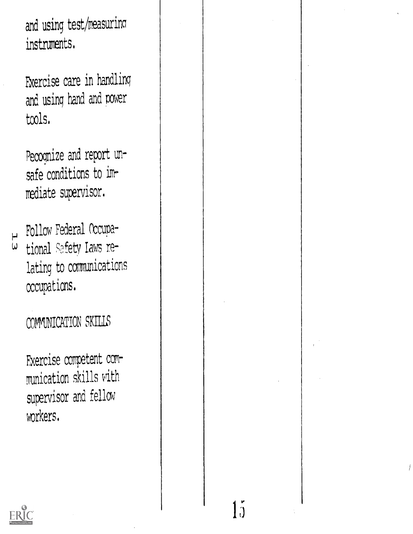and using test/measuring instruments.

Fxercise care in handling and using hand and power tools.

Pecognize and report unsafe conditions to immediate supervisor.

 $\mapsto$  Follow Federal Occupational Safety Laws re- $\omega$ lating to communications occupations.

COMMUNICATION SKILLS

Exercise competent communication skills with supervisor and fellow workers.



j (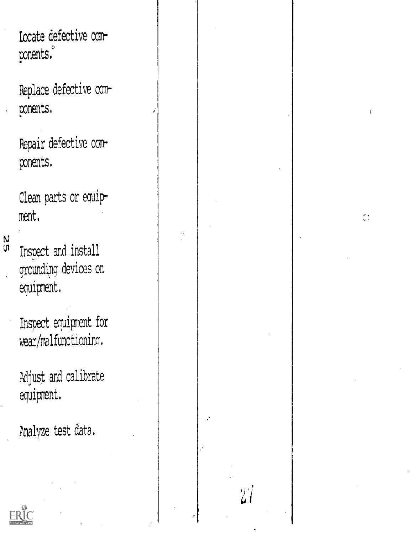Locate defective components.

Replace defective components.

Pepair defective components.

Clean parts or equipment.

 $\hat{\phi}$ 

 $27$ 

 $\frac{N}{n}$ 

Inspect and install grounding devices on equipment.

Inspect equipment for wear/malfunctioning.

Adjust and calibrate equipment.

Analyze test data.

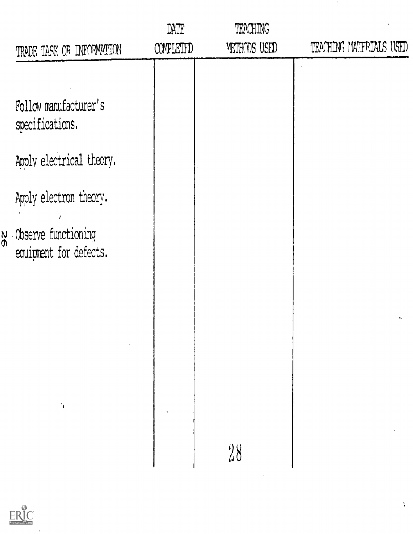|                                                             | DATE             | <b>TEACHING</b> |                         |
|-------------------------------------------------------------|------------------|-----------------|-------------------------|
| TRADE TASK OR INFORMATION                                   | <b>COMPLETED</b> | METHODS USED    | TEACHING MATFRIALS USED |
|                                                             |                  |                 |                         |
| Follow manufacturer's<br>specifications.                    |                  |                 |                         |
| Apply electrical theory.                                    |                  |                 |                         |
| Apply electron theory.                                      |                  |                 |                         |
| $\frac{N}{N}$ Observe functioning<br>equipment for defects. |                  |                 |                         |
|                                                             |                  |                 | $\mathbf{c}_s$          |
|                                                             |                  |                 |                         |
|                                                             |                  |                 |                         |
|                                                             |                  |                 |                         |
|                                                             |                  | 28              |                         |
|                                                             |                  |                 |                         |
|                                                             |                  |                 |                         |

 $ERIC$ 

 $\sim$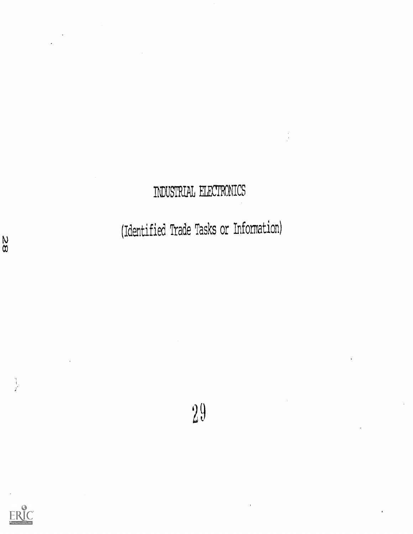# INDUSTRIAL ELECTRONICS

(Identified Trade Tasks or Information)

 $29$ 



 $\begin{bmatrix} 1 \\ 1 \\ 1 \end{bmatrix}$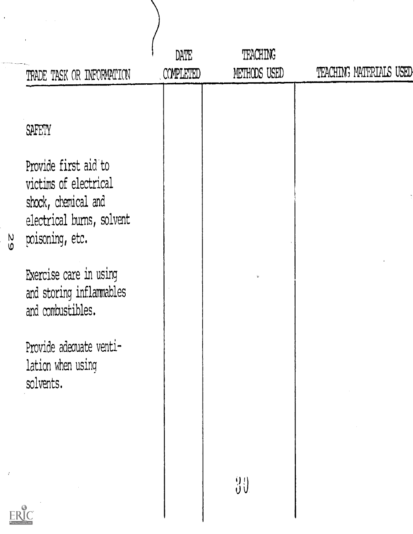|               | TRADE TASK OR INFORMATION                                                                                                                                                                                                                                                     | DATE<br>COMPLETED | <b>TEACHING</b><br>METHODS USED | TEACHING MATERIALS USED |
|---------------|-------------------------------------------------------------------------------------------------------------------------------------------------------------------------------------------------------------------------------------------------------------------------------|-------------------|---------------------------------|-------------------------|
| $\frac{8}{5}$ | <b>SAFETY</b><br>Provide first aid to<br>victims of electrical<br>shock, chemical and<br>electrical burns, solvent<br>poisoning, etc.<br>Exercise care in using<br>and storing inflammables<br>and combustibles.<br>Provide adequate venti-<br>lation when using<br>solvents. |                   |                                 |                         |
|               |                                                                                                                                                                                                                                                                               |                   | $\frac{9}{9}$                   |                         |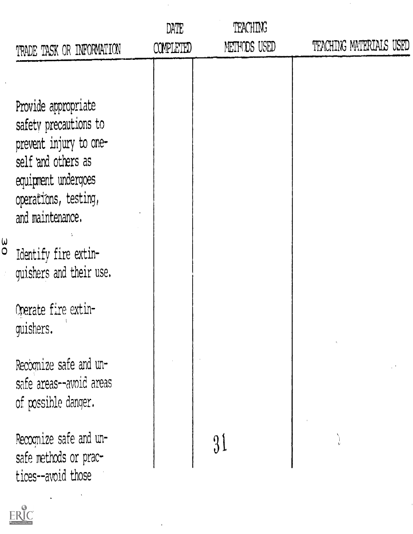| METHODS USED<br>COMPLETED<br>TRADE TASK OR INFORMATION                                                                                                                                                                                                                                                                                                                                                                                       | TEACHING MATERIALS USED |
|----------------------------------------------------------------------------------------------------------------------------------------------------------------------------------------------------------------------------------------------------------------------------------------------------------------------------------------------------------------------------------------------------------------------------------------------|-------------------------|
| Provide appropriate<br>safety precautions to<br>prevent injury to one-<br>self and others as<br>equipment undergoes<br>operations, testing,<br>and maintenance.<br>$\overset{\mathsf{u}}{\circ}$<br>Identify fire extin-<br>quishers and their use.<br>Operate fire extin-<br>quishers.<br>Recognize safe and un-<br>safe areas--avoid areas<br>of possible danger.<br>Recognize safe and un-<br>safe methods or prac-<br>tices--avoid those |                         |

ï

 $\hat{\boldsymbol{\theta}}$ 

 $\epsilon$ 

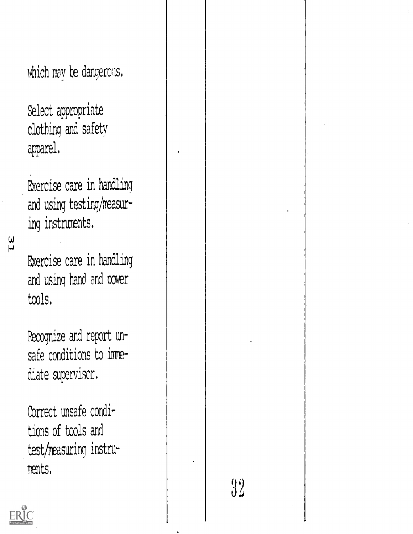which may be dangerous.

Select appropriate clothing and safety apparel.

Exercise care in handling and using testing/measuring instruments.

 $\frac{\epsilon}{L}$ 

Exercise care in handling and using hand and power tools.

Recognize and report unsafe conditions to immediate supervisor.

Correct unsafe conditions of tools and test/reasuring instruments.

 $32^{\circ}$ 

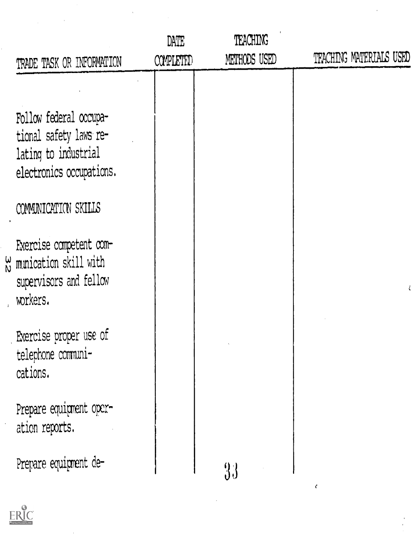| TRADE TASK OR INFORMATION                                                                                 | DATE<br><b>COMPLETED</b> | <b>TEACHING</b><br>METHODS USED | TFACHING MATERIALS USED |
|-----------------------------------------------------------------------------------------------------------|--------------------------|---------------------------------|-------------------------|
|                                                                                                           |                          |                                 |                         |
| Follow federal occupa-<br>tional safety laws re-<br>lating to industrial<br>electronics occupations.      |                          |                                 |                         |
| COMMUNICATION SKILLS                                                                                      |                          |                                 |                         |
| Exercise competent com-<br>$\frac{\omega}{N}$ munication skill with<br>supervisors and fellow<br>workers. |                          |                                 |                         |
| Exercise proper use of<br>telephone communi-<br>cations.                                                  |                          |                                 |                         |
| Prepare equipment oper-<br>ation reports.                                                                 |                          |                                 |                         |
| Prepare equipment de-                                                                                     |                          | 33                              |                         |

 $\ddot{\phantom{1}}$ 

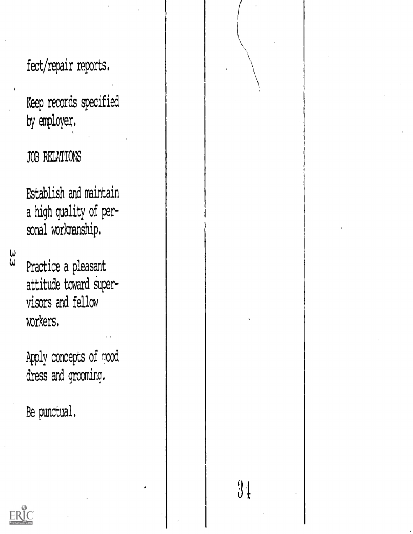fect/repair reports.

Keep records specified by employer.

JOB RELATIONS

Establish and maintain a high quality of personal workmanship.

 $\frac{\omega}{\omega}$ 

Practice a pleasant attitude toward supervisors and fellow workers.

Apply concepts of good dress and grooming.

Be punctual.

 $3<sub>1</sub>$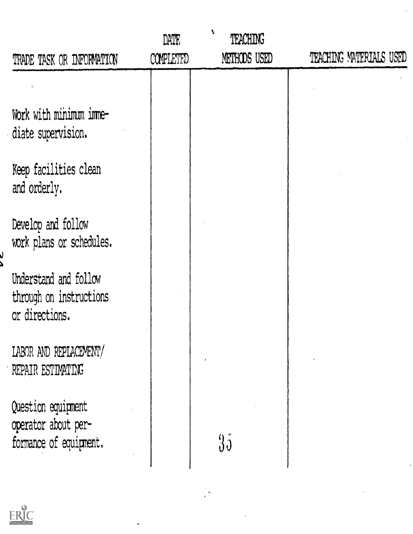|                                                                     | DATE      | V<br><b>TEACHING</b> |                         |
|---------------------------------------------------------------------|-----------|----------------------|-------------------------|
| TRADE TASK OR INFORMATION                                           | COMPLETED | METHODS USED         | TEACHING MATERIALS USED |
|                                                                     |           |                      |                         |
| Work with minimum imme-<br>diate supervision.                       |           |                      |                         |
| Keep facilities clean<br>and orderly.                               |           |                      |                         |
| Develop and follow<br>work plans or schedules.                      |           |                      |                         |
| Understand and follow<br>through on instructions<br>or directions.  |           |                      |                         |
| LABOR AND REPLACEMENT/<br>REPAIR ESTIMATING                         |           |                      |                         |
| Question equipment<br>operator about per-<br>formance of equipment. |           | 35                   |                         |
|                                                                     |           |                      |                         |

ł,

 $\hat{\mathbf{v}}$ 

 $\label{eq:2.1} \frac{1}{2} \sum_{i=1}^n \frac{1}{2} \sum_{j=1}^n \frac{1}{2} \sum_{j=1}^n \frac{1}{2} \sum_{j=1}^n \frac{1}{2} \sum_{j=1}^n \frac{1}{2} \sum_{j=1}^n \frac{1}{2} \sum_{j=1}^n \frac{1}{2} \sum_{j=1}^n \frac{1}{2} \sum_{j=1}^n \frac{1}{2} \sum_{j=1}^n \frac{1}{2} \sum_{j=1}^n \frac{1}{2} \sum_{j=1}^n \frac{1}{2} \sum_{j=1}^n \frac{$ 

 $\frac{1}{2}$ 



ل<br>ھ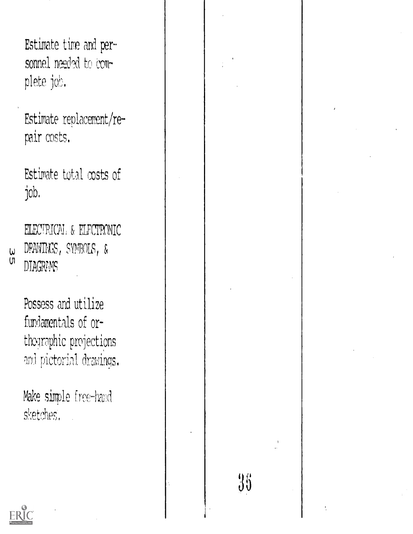```
Estimate time and per-
sonnel needed to com-
plete job.
```
Estimate replacement/repair costs.

Estimate total costs of job.

ELECTRICAL & ELECTRONIC DRAWINGS, SYMBOLS, & **DIAGRAMS** 

 $\omega$  $\overline{u}$ 

> Possess and utilize fundamentals of orthographic projections and pictorial drawings.

Make simple free-hand sketches.

 $36$ 

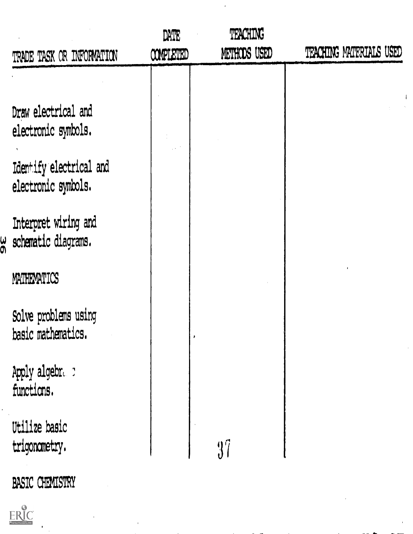| TRADE TASK OR INFORMATION                                                                    | DATE<br><b>COMPLETED</b> | TEACHING<br>METHODS USED | TEACHING MATERIALS USED |
|----------------------------------------------------------------------------------------------|--------------------------|--------------------------|-------------------------|
| Draw electrical and<br>electronic symbols.<br>Identify electrical and<br>electronic symbols. |                          |                          |                         |
| Interpret wiring and<br>w schematic diagrams.                                                |                          |                          |                         |
| MATHEMATICS                                                                                  |                          |                          |                         |
| Solve problems using<br>basic mathematics.                                                   |                          |                          |                         |
| Apply algebra c<br>functions.                                                                |                          |                          |                         |
| Utilize basic<br>trigonometry.                                                               |                          | 37                       |                         |
| <b>BASIC CHEMISTRY</b>                                                                       |                          |                          |                         |

 $\bar{\mathbf{r}}$ 

 $\hat{\boldsymbol{r}}$ 



 $\ddot{\phantom{1}}$ 

 $\frac{1}{2}$ 

 $\frac{1}{2}$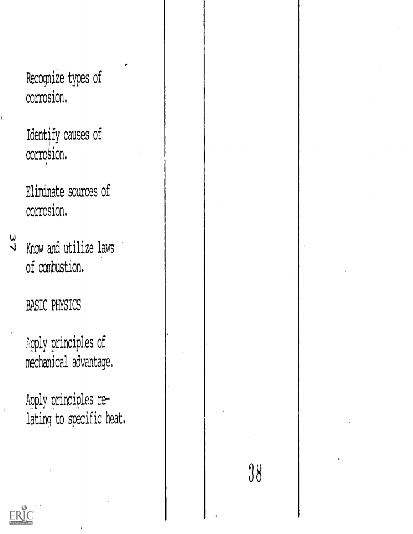Recognize types of corrosion.

Identify causes of corrosion.

Eliminate sources of corrosion.

u<br>J

Know and utilize laws of combustion.

# BASIC PHYSICS

Lpply principles of mechanical advantage.

Apply principles relating to specific heat,

38

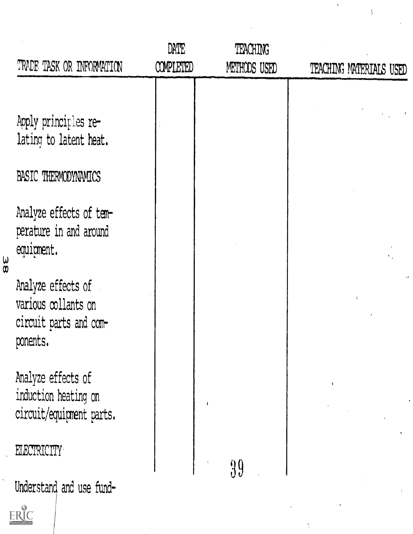| TRADE TASK OR INFORMATION                                                       | DATE<br><b>COMPLETED</b> | TEACHING<br>METHODS USED | TEACHING MATERIALS USED |
|---------------------------------------------------------------------------------|--------------------------|--------------------------|-------------------------|
| Apply principles re-<br>lating to latent heat.                                  |                          |                          |                         |
| <b>BASIC THERMODYNAMICS</b>                                                     |                          |                          |                         |
| Analyze effects of tem-<br>perature in and around<br>equipment.                 |                          |                          |                         |
| Analyze effects of<br>various collants on<br>circuit parts and com-<br>ponents. |                          |                          |                         |
| Analyze effects of<br>induction heating on<br>circuit/equipment parts.          |                          |                          |                         |
| <b>ELECTRICITY</b>                                                              |                          | 39                       |                         |
| Understand and use fund-<br>ERIC                                                |                          |                          |                         |

 $\hat{\theta}$ 

 $\frac{1}{8}$ 

 $\frac{9}{3}$ 

 $\frac{1}{2}$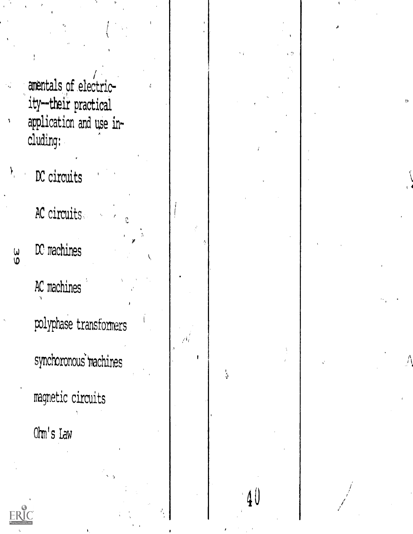amentals of electricity--their practical application and use including:

 $pc$  circuits

Y,

 $\frac{\omega}{6}$ 

AC circuits

 $DC$  machines

AC machines polyphase transformers synchoronous machines

magnetic circuits

Ohm's Law



 $\stackrel{1}{\mathfrak{J}}$ 

40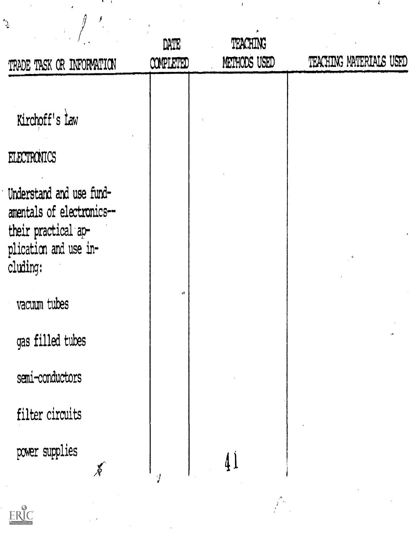| $\mathcal{L}^{\star}$                                                                                             | DATE             | <b>TEACHING</b> |                         |
|-------------------------------------------------------------------------------------------------------------------|------------------|-----------------|-------------------------|
| TRADE TASK OR INFORMATION                                                                                         | <b>COMPLETED</b> | METHODS USED    | TEACHING MATERIALS USED |
| Kirchoff's law<br><b>FLECTRONICS</b>                                                                              |                  |                 |                         |
| Understand and use fund-<br>amentals of electronics--<br>their practical ap-<br>plication and use in-<br>cluding: |                  |                 |                         |
| vacuum tubes                                                                                                      | r II             |                 |                         |
| gas filled tubes                                                                                                  |                  |                 |                         |
| semi-conductors                                                                                                   |                  |                 |                         |
| filter circuits                                                                                                   |                  |                 |                         |
| power supplies<br>$\tilde{\mathcal{X}}$                                                                           |                  | $\c4$           |                         |
| $\odot$                                                                                                           |                  |                 |                         |

 $\label{eq:2.1} \frac{1}{\sqrt{2}}\sum_{i=1}^n\frac{1}{\sqrt{2}}\left(\frac{1}{\sqrt{2}}\sum_{i=1}^n\frac{1}{\sqrt{2}}\right)^2\left(\frac{1}{\sqrt{2}}\sum_{i=1}^n\frac{1}{\sqrt{2}}\right)^2\left(\frac{1}{\sqrt{2}}\sum_{i=1}^n\frac{1}{\sqrt{2}}\right)^2.$ 

ERIC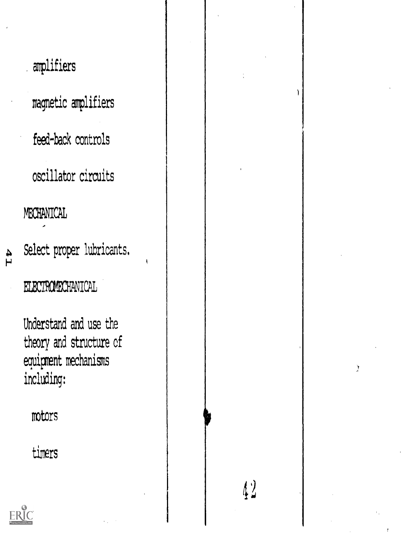# amplifiers magnetic amplifiers feed-back controls oscillator circuits MECHANICAL Select proper lubricants. 41 ELECTROMECHANICAL Understand and use the theory and structure of equipment mechanisms including: motors timers $\sqrt{2}$

 $\mathcal{I}$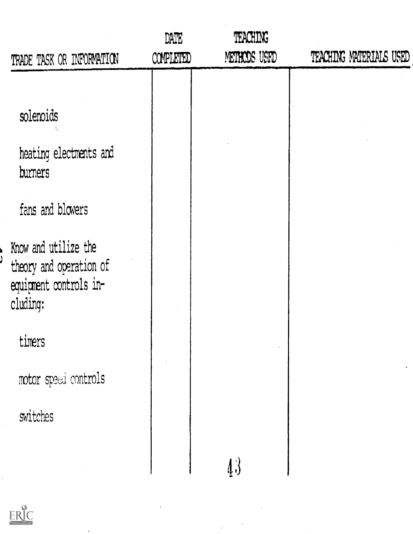|    | TRADE TASK OR INFORMATION                                                             | DATE<br>COMPLETED | TEACHING<br>METHODS USED | TEACHING MATERIALS USED |  |
|----|---------------------------------------------------------------------------------------|-------------------|--------------------------|-------------------------|--|
|    | solenoids<br>heating electments and                                                   |                   |                          |                         |  |
|    | burners<br>fans and blowers                                                           |                   |                          |                         |  |
|    | Know and utilize the<br>theory and operation of<br>equipment controls in-<br>cluding: |                   |                          |                         |  |
|    | timers                                                                                |                   |                          |                         |  |
|    | motor speed controls                                                                  |                   |                          |                         |  |
|    | switches                                                                              |                   |                          |                         |  |
| ŧ, |                                                                                       |                   | $\c{\varphi}$            |                         |  |

 $\frac{1}{2} \frac{1}{2} \frac{1}{2} \frac{1}{2} \frac{1}{2}$ 

 $\alpha$ 



 $\ddot{\phantom{0}}$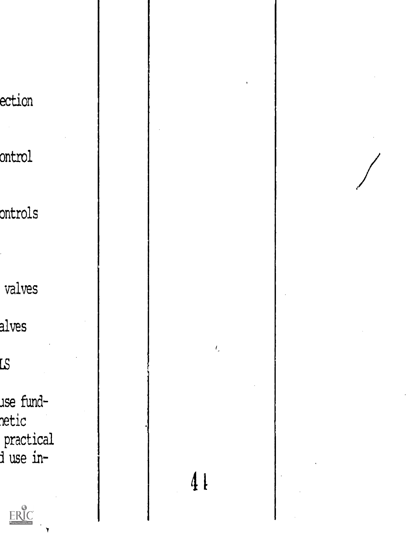ection ontrol ontrols valves alves  $\overline{\mathcal{R}}$ use fundnetic  $\,$  practical  $\,$ duse in-

ERIC

 $\bar{t}_i$ 4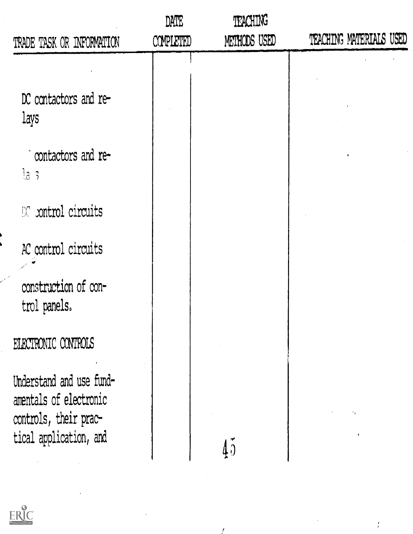| TRADE TASK OR INFORMATION                                                                             | DATE<br>COMPLETED | TEACHING<br>METHODS USED | TEACHING MATERIALS USED |
|-------------------------------------------------------------------------------------------------------|-------------------|--------------------------|-------------------------|
| DC contactors and re-<br><b>Lays</b>                                                                  |                   |                          |                         |
| contactors and re-<br>la s                                                                            |                   |                          |                         |
| $\mathbb{R}$ xontrol circuits                                                                         |                   |                          |                         |
| AC control circuits                                                                                   |                   |                          |                         |
| construction of con-<br>trol panels.                                                                  |                   |                          |                         |
| ELECTRONIC CONTROLS                                                                                   |                   |                          |                         |
| Understand and use fund-<br>amentals of electronic<br>controls, their prac-<br>tical application, and |                   |                          |                         |

 $\mathcal{L}$ 

 $ERIC$ 

 $\frac{1}{4}$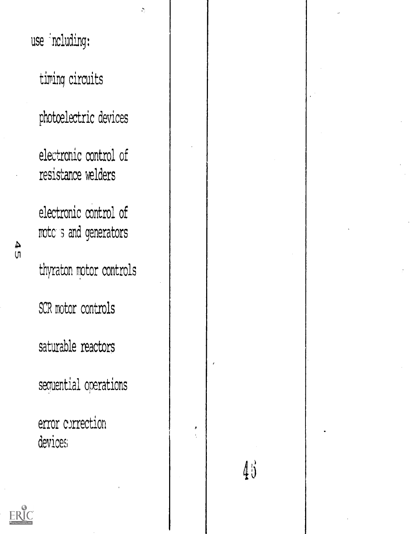use including:

timing circuits

photoelectric devices

 $\ddot{\phantom{a}}$ 

electronic control of resistance welders

electronic control of motors and generators

thyraton motor controls

SCR motor controls

saturable reactors

sequential operations

error correction devices.

 $45$ 



 $\frac{4}{10}$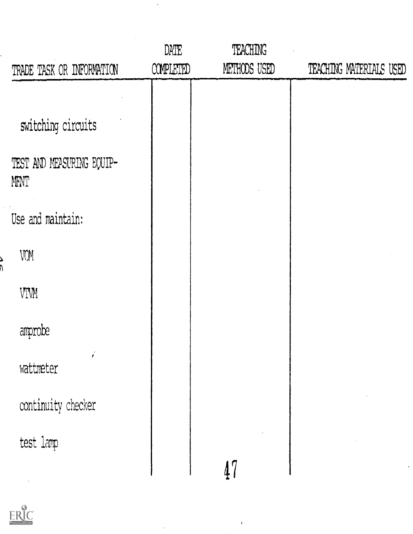|                                   | DATE      | <b>TEACHING</b> |                         |
|-----------------------------------|-----------|-----------------|-------------------------|
| TRADE TASK OR INFORMATION         | COMPLETED | METHODS USED    | TEACHING MATERIALS USED |
|                                   |           |                 |                         |
| switching circuits                |           |                 |                         |
| TEST AND MEASURING EQUIP-<br>MENT |           |                 |                         |
| Use and maintain:                 |           |                 |                         |
| VOM                               |           |                 |                         |
| VIWM                              |           |                 |                         |
| amprobe                           |           |                 |                         |
| wattmeter                         |           |                 |                         |
| continuity checker                |           |                 |                         |
| test lamp                         |           |                 |                         |
|                                   |           | 47              |                         |

 $\overline{1}$ 

 $\hat{\boldsymbol{\beta}}$ 

 $\sim$   $\sim$ 



Ċ,

 $\frac{1}{2}$ 

د<br>آ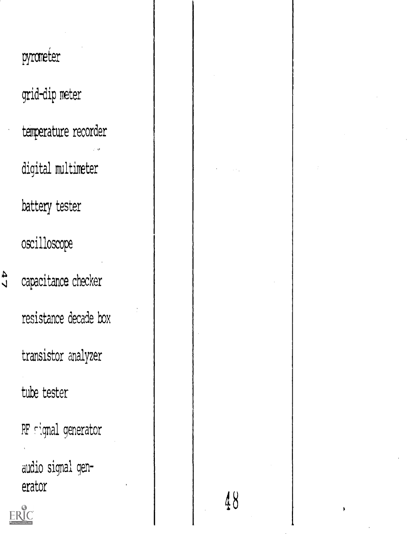pyrometer grid-dip meter temperature recorder digital multimeter battery tester oscilloscope capacitance checker resistance decade box transistor analyzer tube tester RF signal generator audio signal gen-

 $\frac{47}{2}$ 

erator

RĬC

48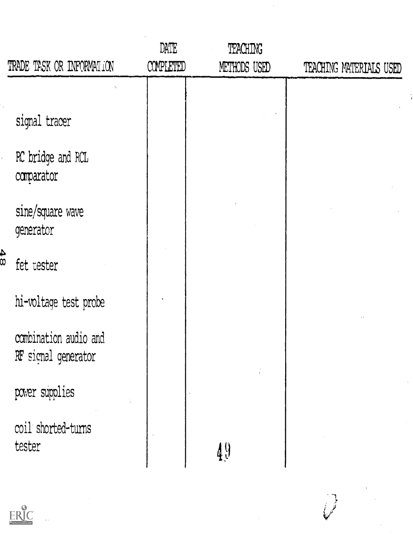|               | TRADE TASK OR INFORMATION                    | DATE<br><b>COMPLETED</b> | TEACHING<br>METHODS USED | TEACHING MATERIALS USED |  |
|---------------|----------------------------------------------|--------------------------|--------------------------|-------------------------|--|
|               |                                              |                          |                          |                         |  |
|               | signal tracer                                |                          |                          |                         |  |
|               | RC bridge and RCL<br>comparator              |                          |                          |                         |  |
|               | sine/square wave<br>generator                |                          |                          |                         |  |
| $\frac{4}{8}$ | fet tester                                   |                          |                          |                         |  |
|               | hi-voltage test probe                        |                          |                          |                         |  |
|               | combination audio and<br>RF signal generator |                          |                          |                         |  |
|               | power supplies                               |                          |                          |                         |  |
|               | coil shorted-turns<br>tester                 |                          | $\sqrt{4}$               |                         |  |

 $\hat{\mathcal{A}}$ 



 $\frac{1}{2}$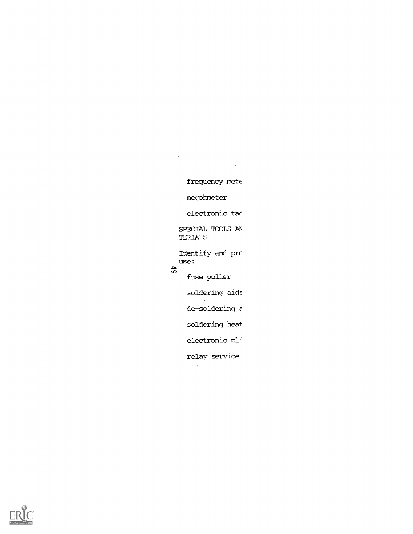frequency mete megohmeter  $\epsilon$ electronic tac SPECIAL TOOLS AN TERIALS Identify and prc use:  $49$ fuse puller soldering aids de-soldering a soldering heat electronic pli  $\mathcal{L}$ 

 $\sim$ 

 $\bar{z}$ 

relay service

 $\mathcal{A}$ 

 $\mathbf{r}$ 

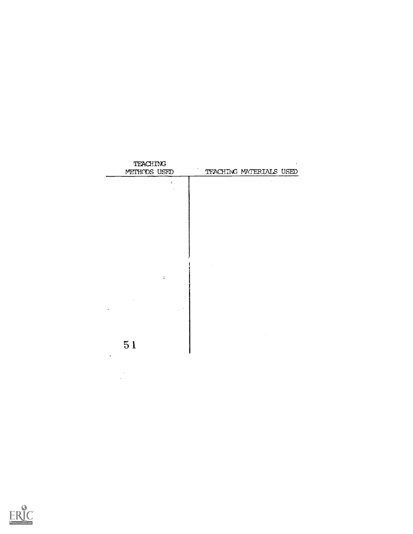

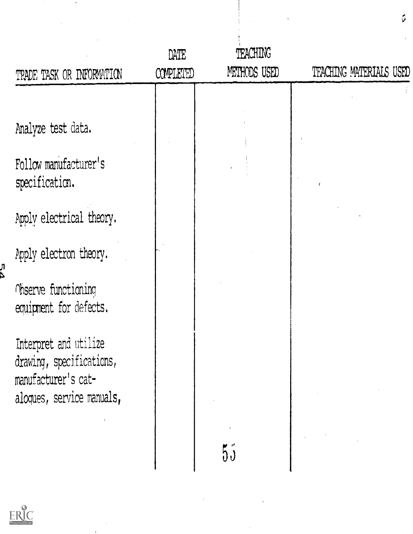| TRADE TASK OR INFORMATION                                                                             | DATE<br>COMPLETED | TEACHING<br>METHODS USED | TFACHING MATERIALS USED |
|-------------------------------------------------------------------------------------------------------|-------------------|--------------------------|-------------------------|
|                                                                                                       |                   |                          |                         |
| Analyze test data.                                                                                    |                   |                          |                         |
| Follow manufacturer's<br>specification.                                                               |                   |                          |                         |
| Apply electrical theory.                                                                              |                   |                          |                         |
| Apply electron theory.                                                                                |                   |                          |                         |
| Observe functioning<br>equipment for defects.                                                         |                   |                          |                         |
| Interpret and utilize<br>drawing, specifications,<br>manufacturer's cat-<br>aloques, service manuals, |                   |                          |                         |
|                                                                                                       |                   | 55                       |                         |

 $\sim$ 

 $\tilde{\mathcal{Q}}$ 



 $\frac{1}{2}$ 

 $\sim$   $\epsilon$ 

n<br>∆

 $\mathcal{F}^{\mathcal{G}}$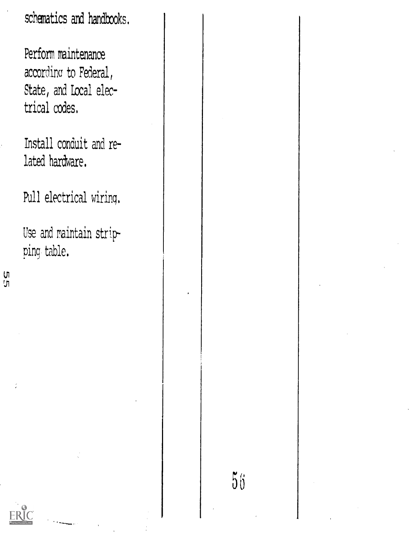scbematics and handbooks.

Perform maintenance accordinc to Federal, State, and Local electrical codes.

Install conduit and related hardware.

Pull electrical wiring.

Use and raintain stripping table.

បា<br>ក្រ

t.

 $56$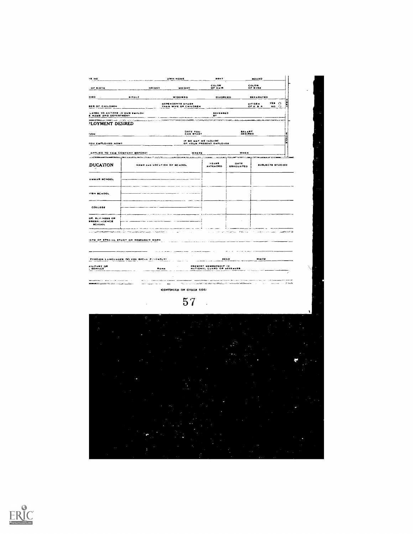| 15,50                                                                                      |                                                               | OWN HONE                                                      | <b>RENT</b>                                                 |                                                                               | $\frac{1}{2}$                                             |                     |
|--------------------------------------------------------------------------------------------|---------------------------------------------------------------|---------------------------------------------------------------|-------------------------------------------------------------|-------------------------------------------------------------------------------|-----------------------------------------------------------|---------------------|
| OF BIRTH                                                                                   | <b>NEIGHT</b>                                                 | WEIGHT                                                        | COLOR<br>OF HAIR                                            |                                                                               | COLOR<br>OF EVES                                          |                     |
| 1180                                                                                       | <b>BINGLY</b>                                                 | WIDOWED                                                       | DIVORCED                                                    |                                                                               | <b>BEPARATED</b>                                          |                     |
| <b>BER OF CHILDREN</b>                                                                     |                                                               | <b>DEPENDENTS OTHER</b><br>THAN WIFE OF CHILDREN              |                                                             |                                                                               | <b>TES</b><br>$\circ$<br>CITIZEN<br>OF U B A<br>$-0$<br>Ω | H                   |
| LATED TO ANYONE IN OUR EMPLOY<br><b>E HAME AND OEPARTMENT</b>                              |                                                               |                                                               | REPERRED<br>$\blacksquare$                                  |                                                                               |                                                           |                     |
| <b>RESERVATION</b> AND ARRAIGNMENT<br>PLOYMENT DESIRED                                     |                                                               |                                                               |                                                             |                                                                               | an mar                                                    |                     |
| NON                                                                                        |                                                               | DATE YOU<br>CAN BTART                                         |                                                             | BALARY<br>OCH RED                                                             |                                                           | E                   |
| FOU EMPLOYED HOWT                                                                          |                                                               |                                                               | IF 60 HAT WE INDUIRE<br>OF YOUR PRESENT EMPLOYER            |                                                                               |                                                           | o<br>۱P             |
| APPLIED TO THIS COMPANY BEFORE?                                                            |                                                               | WHEEL                                                         |                                                             | WHEN                                                                          |                                                           |                     |
|                                                                                            | HAME AND LOCATION OF RCHOOL                                   | APROPATION TO                                                 | <b>Committee Committee</b><br><b>VEARS</b>                  | DATE                                                                          | <b>SUBJECTS STUDIED</b>                                   |                     |
| <b>DUCATION</b>                                                                            |                                                               |                                                               | <b>AVTENDED</b>                                             | <b>GRADUATED</b>                                                              |                                                           |                     |
| AMMAR SCHOOL                                                                               |                                                               |                                                               |                                                             |                                                                               |                                                           |                     |
|                                                                                            |                                                               |                                                               |                                                             |                                                                               |                                                           |                     |
| <b>118H BCHOOL</b>                                                                         |                                                               |                                                               |                                                             |                                                                               |                                                           |                     |
| COLLEGE                                                                                    |                                                               |                                                               |                                                             |                                                                               |                                                           |                     |
| OE, SURINESS OR                                                                            |                                                               |                                                               |                                                             |                                                                               |                                                           |                     |
| RRESPL-HOENCE<br><b>BCHOOL</b>                                                             |                                                               |                                                               |                                                             |                                                                               |                                                           |                     |
|                                                                                            | lo de <del>nominación d</del> e la malencia (no servizo de    |                                                               | <b>STATISTICS</b><br>×                                      | mount for<br><b>CONTRACTOR</b>                                                | $\gamma\sigma$ is our changes of the company $\gamma$     | <b>SANTA SE</b>     |
|                                                                                            | POREIGH LANGUAGES DO YOU SPEAK PLUFNTLY!<br>$\frac{max}{max}$ |                                                               | <b>PRESENT NEMBERSHIP IN<br/>NATIONAL GUARD OR SERESVES</b> | ÷.<br>$\sim$<br><b>All Angeles</b><br>$\frac{\text{max}}{\text{max}}$         | WAITE                                                     |                     |
| manager of the manager of the common common the<br><b>Constitution of the Constitution</b> | <b>A contract and a series</b><br>الرابط الملاد فتصحب الكرمة  | $\frac{1}{2}$ and $\frac{1}{2}$ .<br>CONTINUED ON OTHER SIDE: |                                                             | $\sigma_{\rm L1}$ , and the collection moved imaging to the constantineous of | $\sim 10$<br>$\sim$ 10 $\pm$                              | calculation in susc |
|                                                                                            |                                                               | 57                                                            |                                                             |                                                                               |                                                           |                     |
|                                                                                            |                                                               |                                                               |                                                             |                                                                               |                                                           |                     |
| SERVICE                                                                                    |                                                               |                                                               |                                                             |                                                                               |                                                           |                     |
|                                                                                            |                                                               |                                                               |                                                             |                                                                               |                                                           |                     |
|                                                                                            |                                                               |                                                               |                                                             |                                                                               |                                                           |                     |
|                                                                                            |                                                               |                                                               |                                                             |                                                                               |                                                           |                     |
|                                                                                            |                                                               |                                                               |                                                             |                                                                               |                                                           |                     |
|                                                                                            |                                                               |                                                               |                                                             |                                                                               |                                                           |                     |
|                                                                                            |                                                               |                                                               |                                                             |                                                                               |                                                           |                     |
|                                                                                            |                                                               |                                                               |                                                             |                                                                               |                                                           |                     |
|                                                                                            |                                                               |                                                               |                                                             |                                                                               |                                                           |                     |
|                                                                                            |                                                               |                                                               |                                                             |                                                                               |                                                           |                     |
|                                                                                            |                                                               |                                                               |                                                             |                                                                               |                                                           |                     |
|                                                                                            |                                                               |                                                               |                                                             |                                                                               |                                                           |                     |
|                                                                                            |                                                               |                                                               |                                                             |                                                                               |                                                           |                     |

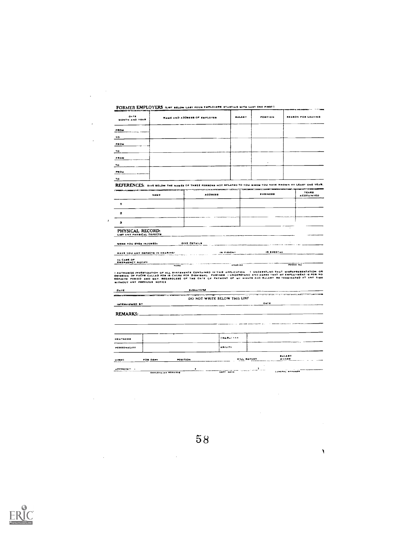| <b>DATE</b><br>MONTH AND YEAR                                                                                       |               | <b>NAME AND ADDRESS OF EMPLOYER</b>                                                                                                                                                                                                                                                                          | <b>SALARY</b>                                  | POSITION                                                | REASON FOR LEAVING                                                                     |
|---------------------------------------------------------------------------------------------------------------------|---------------|--------------------------------------------------------------------------------------------------------------------------------------------------------------------------------------------------------------------------------------------------------------------------------------------------------------|------------------------------------------------|---------------------------------------------------------|----------------------------------------------------------------------------------------|
| PROM                                                                                                                |               |                                                                                                                                                                                                                                                                                                              |                                                |                                                         |                                                                                        |
| $\overline{\mathbf{r}}$                                                                                             |               |                                                                                                                                                                                                                                                                                                              |                                                |                                                         |                                                                                        |
| <b>FROM</b>                                                                                                         |               |                                                                                                                                                                                                                                                                                                              |                                                |                                                         |                                                                                        |
| ŤO                                                                                                                  |               |                                                                                                                                                                                                                                                                                                              |                                                |                                                         |                                                                                        |
| FROM                                                                                                                |               |                                                                                                                                                                                                                                                                                                              |                                                |                                                         |                                                                                        |
| $\mathbf{v}$                                                                                                        |               |                                                                                                                                                                                                                                                                                                              |                                                |                                                         |                                                                                        |
| PROM                                                                                                                |               |                                                                                                                                                                                                                                                                                                              |                                                |                                                         |                                                                                        |
| 1o                                                                                                                  |               |                                                                                                                                                                                                                                                                                                              |                                                |                                                         |                                                                                        |
|                                                                                                                     |               | REFERENCES: GIVE BELOW THE NAMES OF THREE FERBONS NOT RELATED TO YOU. WHOM YOU HAVE KNOWN AY LEAST ONE YEAH.                                                                                                                                                                                                 |                                                | The company of the second company of the subsequents of |                                                                                        |
|                                                                                                                     | NAME          | <b>AODRESS</b>                                                                                                                                                                                                                                                                                               |                                                | <b>SUSINESS</b>                                         | <b>YEARS</b><br><b>ACQUAINTED</b>                                                      |
| 1                                                                                                                   |               |                                                                                                                                                                                                                                                                                                              |                                                |                                                         |                                                                                        |
| $\overline{\mathbf{z}}$                                                                                             |               |                                                                                                                                                                                                                                                                                                              |                                                |                                                         |                                                                                        |
| з                                                                                                                   |               |                                                                                                                                                                                                                                                                                                              |                                                |                                                         |                                                                                        |
| PHYSICAL RECORD:<br>LIST ANY FHYSICAL DEFECTS                                                                       |               |                                                                                                                                                                                                                                                                                                              |                                                |                                                         |                                                                                        |
|                                                                                                                     |               |                                                                                                                                                                                                                                                                                                              |                                                |                                                         |                                                                                        |
|                                                                                                                     |               | GIVE OFTAILS                                                                                                                                                                                                                                                                                                 |                                                |                                                         |                                                                                        |
|                                                                                                                     |               |                                                                                                                                                                                                                                                                                                              |                                                | IN EPEECHE                                              |                                                                                        |
|                                                                                                                     | $\overline{}$ |                                                                                                                                                                                                                                                                                                              | IN VISION!<br>$-$ Abon $\overline{\mathbf{a}}$ |                                                         | PHONE NO                                                                               |
|                                                                                                                     |               | I AUTHORIZE INVESTIGATION OF ALL STATEMENTS CONTAINED IN THIS APPLICATION<br>OMISSION OF FACTS CALLED FOR IS CAUSE FOR DISNISSAL. FURTHER I UNOERSTAND AND AGREE THAT WY EMPLOYMENT IS FOR NO<br>DEFINITE FERIOD AND MAY, REGARDLESE OF THE DATE OF FATHENT OF MY WAGES AND SALARY BE TERMINATED AT ANY TIME |                                                |                                                         |                                                                                        |
| WERE YOU EVER INJURED:<br><b>HAVE YOU ANY DEFECTS IN HEARING!</b><br>IN CASE OF<br><b>ENERGENCY NOTIFY</b>          |               | <b>BIGNATURE</b>                                                                                                                                                                                                                                                                                             |                                                |                                                         | <b>TANTO IN THE</b>                                                                    |
|                                                                                                                     |               | DO NOT WRITE BELOW THIS LINF                                                                                                                                                                                                                                                                                 |                                                | DATE                                                    |                                                                                        |
|                                                                                                                     |               |                                                                                                                                                                                                                                                                                                              |                                                |                                                         |                                                                                        |
|                                                                                                                     |               |                                                                                                                                                                                                                                                                                                              | <b>CHARACTER</b>                               |                                                         |                                                                                        |
|                                                                                                                     |               |                                                                                                                                                                                                                                                                                                              | <b>ABILITY</b>                                 |                                                         |                                                                                        |
| WITHOUT ANY PREVIOUS NOTICE<br>DATE<br>IMTERVIEWED BY<br>REMARKS:<br><b>NEATHERS</b><br>PERSONALITY<br><b>HIRED</b> | FOR DEPT      | <b>POSITION</b>                                                                                                                                                                                                                                                                                              | WILL REPORT                                    |                                                         | I UNDERSTAND THAT MISREPRESENTATION OR<br><b>TOTAL STATE</b><br><b>BALARY</b><br>WAGER |



 $\sim 10^{-11}$ 

 $\sim$   $\lambda$ 

 $\label{eq:2.1} \frac{1}{\sqrt{2}}\left(\frac{1}{\sqrt{2}}\right)^{2} \left(\frac{1}{\sqrt{2}}\right)^{2} \left(\frac{1}{\sqrt{2}}\right)^{2} \left(\frac{1}{\sqrt{2}}\right)^{2} \left(\frac{1}{\sqrt{2}}\right)^{2} \left(\frac{1}{\sqrt{2}}\right)^{2} \left(\frac{1}{\sqrt{2}}\right)^{2} \left(\frac{1}{\sqrt{2}}\right)^{2} \left(\frac{1}{\sqrt{2}}\right)^{2} \left(\frac{1}{\sqrt{2}}\right)^{2} \left(\frac{1}{\sqrt{2}}\right)^{2} \left(\$ 

 $\mathcal{L}^{\mathcal{L}}(\mathcal{L}^{\mathcal{L}})$  and  $\mathcal{L}^{\mathcal{L}}(\mathcal{L}^{\mathcal{L}})$  and  $\mathcal{L}^{\mathcal{L}}(\mathcal{L}^{\mathcal{L}})$  and  $\mathcal{L}^{\mathcal{L}}(\mathcal{L}^{\mathcal{L}})$ 

 $\sim 10^6$ 

58

 $\label{eq:2} \frac{1}{\sqrt{2}}\int_{\mathbb{R}^3} \frac{1}{\sqrt{2}}\,d\mu\int_{\mathbb{R}^3} \frac{1}{\sqrt{2}}\,d\mu\int_{\mathbb{R}^3} \frac{1}{\sqrt{2}}\,d\mu\int_{\mathbb{R}^3} \frac{1}{\sqrt{2}}\,d\mu\int_{\mathbb{R}^3} \frac{1}{\sqrt{2}}\,d\mu\int_{\mathbb{R}^3} \frac{1}{\sqrt{2}}\,d\mu\int_{\mathbb{R}^3} \frac{1}{\sqrt{2}}\,d\mu\int_{\mathbb{R}^3} \frac$ 

 $\bar{\lambda}$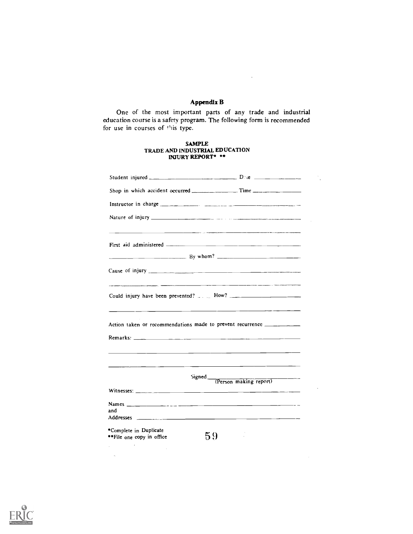# Appendix B

 $\mathbb{R}^2$ 

 $\frac{1}{2}$ 

 $\hat{\mathbf{r}}$ 

One of the most important parts of any trade and industrial education course is a safety program. The following form is recommended for use in courses of this type.

# SAMPLE TRADE AND INDUSTRIAL EDUCATION INJURY REPORT\*

|                                                                                                                                                                                                                                                                                                                            | Shop in which accident occurred ___________________ Time ________________________                                     |
|----------------------------------------------------------------------------------------------------------------------------------------------------------------------------------------------------------------------------------------------------------------------------------------------------------------------------|-----------------------------------------------------------------------------------------------------------------------|
| Instructor in charge $\frac{1}{2}$ $\frac{1}{2}$ $\frac{1}{2}$ $\frac{1}{2}$ $\frac{1}{2}$ $\frac{1}{2}$ $\frac{1}{2}$ $\frac{1}{2}$ $\frac{1}{2}$ $\frac{1}{2}$ $\frac{1}{2}$ $\frac{1}{2}$ $\frac{1}{2}$ $\frac{1}{2}$ $\frac{1}{2}$ $\frac{1}{2}$ $\frac{1}{2}$ $\frac{1}{2}$ $\frac{1}{2}$ $\frac{1}{2}$               |                                                                                                                       |
|                                                                                                                                                                                                                                                                                                                            |                                                                                                                       |
|                                                                                                                                                                                                                                                                                                                            |                                                                                                                       |
|                                                                                                                                                                                                                                                                                                                            |                                                                                                                       |
|                                                                                                                                                                                                                                                                                                                            | <u> 1980 - Jan Barat, amerikan bahasa perang berakhir perang berakhir perang berakhir perang berakhir perang bera</u> |
| Action taken or recommendations made to prevent recurrence __________                                                                                                                                                                                                                                                      |                                                                                                                       |
| Signed<br>Witnesses: $\frac{1}{2}$ $\frac{1}{2}$ $\frac{1}{2}$ $\frac{1}{2}$ $\frac{1}{2}$ $\frac{1}{2}$ $\frac{1}{2}$ $\frac{1}{2}$ $\frac{1}{2}$ $\frac{1}{2}$ $\frac{1}{2}$ $\frac{1}{2}$ $\frac{1}{2}$ $\frac{1}{2}$ $\frac{1}{2}$ $\frac{1}{2}$ $\frac{1}{2}$ $\frac{1}{2}$ $\frac{1}{2}$ $\frac{1}{2}$ $\frac{1}{2}$ | (Person making report)                                                                                                |
| and                                                                                                                                                                                                                                                                                                                        |                                                                                                                       |
| *Complete in Duplicate<br>**File one copy in office                                                                                                                                                                                                                                                                        | 59                                                                                                                    |

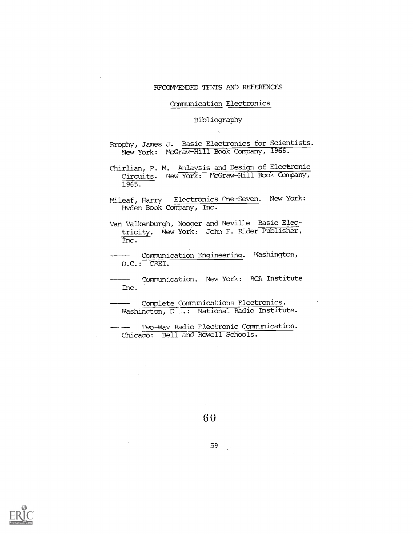# RFCOMMENDFD TEXTS AND REFERENCES

# Carmunication Electronics

# Bibliography

Brophy, James J. Basic Electronics for Scientists. New York: McGraw-Hill Book Company, 1966.

- Chirlian, P. M. Anlaysis and Design of Electronic Circuits. New York: McGraw-Hill Book Company, 1965.
- Mileaf, Harry Electronics One-Seven. New York: Hvden Book COmpany, Inc.
- Van Valkenburgh, Nboger and Neville Basic Electricity. New York: John F. Rider Publisher, Inc.
- Communication Engineering. Washington, D.C.: CREI.
- Inc. ----- Communication. New York: RCA Institute
- ----- Complete Communications Electronics. Washington, D N.: National Radio Institute.

TWo-Way Radio Flectronic Communication. -------Chicago: Bell and Howell Schools.

6 0

 $\alpha_{\rm eff}$  and  $\alpha_{\rm eff}$ 

 $\Delta \sim$ 

59 $\sim$   $\omega$